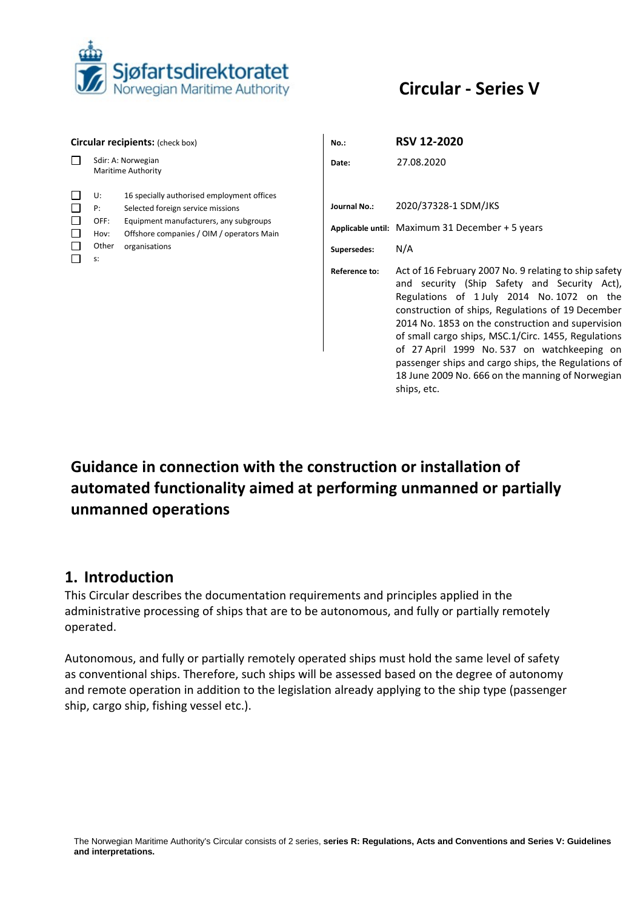

# **Circular - Series V**

| <b>Circular recipients:</b> (check box)   |                                            |                                                                                                                                                                                         | $No.$ :                                             | <b>RSV 12-2020</b>                                                                                                                                                                                                                                                                                                                                                                                                                                                                                                                                                              |
|-------------------------------------------|--------------------------------------------|-----------------------------------------------------------------------------------------------------------------------------------------------------------------------------------------|-----------------------------------------------------|---------------------------------------------------------------------------------------------------------------------------------------------------------------------------------------------------------------------------------------------------------------------------------------------------------------------------------------------------------------------------------------------------------------------------------------------------------------------------------------------------------------------------------------------------------------------------------|
| П                                         |                                            | Sdir: A: Norwegian<br><b>Maritime Authority</b>                                                                                                                                         | Date:                                               | 27.08.2020                                                                                                                                                                                                                                                                                                                                                                                                                                                                                                                                                                      |
| □<br>□<br>□<br>$\Box$<br>$\Box$<br>$\Box$ | U:<br>P:<br>OFF:<br>Hov:<br>Other<br>$S$ : | 16 specially authorised employment offices<br>Selected foreign service missions<br>Equipment manufacturers, any subgroups<br>Offshore companies / OIM / operators Main<br>organisations | <b>Journal No.:</b><br>Supersedes:<br>Reference to: | 2020/37328-1 SDM/JKS<br>Applicable until: Maximum 31 December + 5 years<br>N/A<br>Act of 16 February 2007 No. 9 relating to ship safety<br>and security (Ship Safety and Security Act),<br>Regulations of 1 July 2014 No. 1072 on the<br>construction of ships, Regulations of 19 December<br>2014 No. 1853 on the construction and supervision<br>of small cargo ships, MSC.1/Circ. 1455, Regulations<br>of 27 April 1999 No. 537 on watchkeeping on<br>passenger ships and cargo ships, the Regulations of<br>18 June 2009 No. 666 on the manning of Norwegian<br>ships, etc. |

# **Guidance in connection with the construction or installation of automated functionality aimed at performing unmanned or partially unmanned operations**

## **1. Introduction**

This Circular describes the documentation requirements and principles applied in the administrative processing of ships that are to be autonomous, and fully or partially remotely operated.

Autonomous, and fully or partially remotely operated ships must hold the same level of safety as conventional ships. Therefore, such ships will be assessed based on the degree of autonomy and remote operation in addition to the legislation already applying to the ship type (passenger ship, cargo ship, fishing vessel etc.).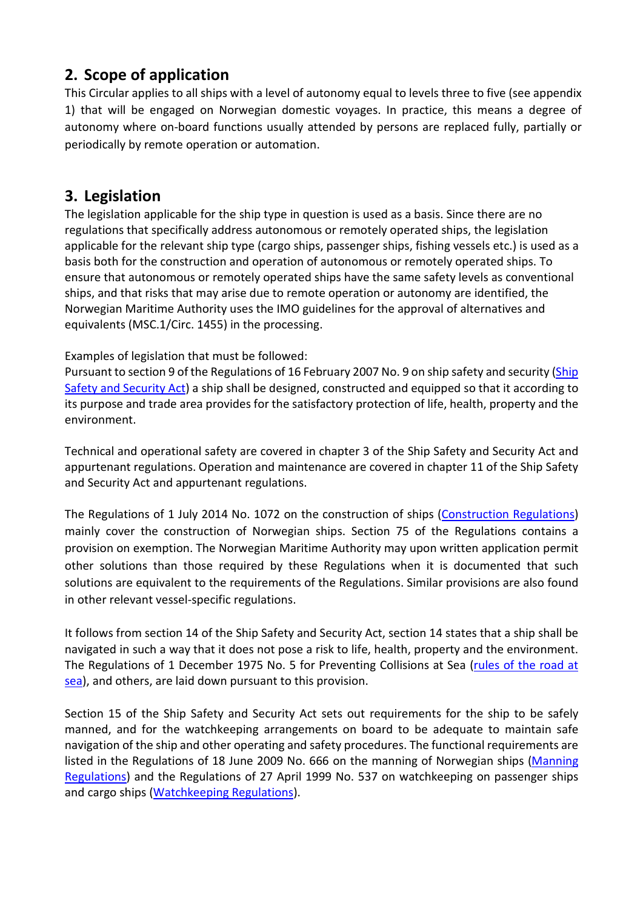# **2. Scope of application**

This Circular applies to all ships with a level of autonomy equal to levels three to five (see appendix 1) that will be engaged on Norwegian domestic voyages. In practice, this means a degree of autonomy where on-board functions usually attended by persons are replaced fully, partially or periodically by remote operation or automation.

## **3. Legislation**

The legislation applicable for the ship type in question is used as a basis. Since there are no regulations that specifically address autonomous or remotely operated ships, the legislation applicable for the relevant ship type (cargo ships, passenger ships, fishing vessels etc.) is used as a basis both for the construction and operation of autonomous or remotely operated ships. To ensure that autonomous or remotely operated ships have the same safety levels as conventional ships, and that risks that may arise due to remote operation or autonomy are identified, the Norwegian Maritime Authority uses the IMO guidelines for the approval of alternatives and equivalents (MSC.1/Circ. 1455) in the processing.

## Examples of legislation that must be followed:

Pursuant to section 9 of the Regulations of 16 February 2007 No. 9 on ship safety and security [\(Ship](https://www.sdir.no/contentassets/a7a1a5cc4998405286e99c6fbccc5c8a/ship-safety-and-security-act.pdf?t=1576055144371)  [Safety and Security Act\)](https://www.sdir.no/contentassets/a7a1a5cc4998405286e99c6fbccc5c8a/ship-safety-and-security-act.pdf?t=1576055144371) a ship shall be designed, constructed and equipped so that it according to its purpose and trade area provides for the satisfactory protection of life, health, property and the environment.

Technical and operational safety are covered in chapter 3 of the Ship Safety and Security Act and appurtenant regulations. Operation and maintenance are covered in chapter 11 of the Ship Safety and Security Act and appurtenant regulations.

The Regulations of 1 July 2014 No. 1072 on the construction of ships [\(Construction Regulations\)](https://lovdata.no/dokument/SF/forskrift/2014-07-01-1072/*#*) mainly cover the construction of Norwegian ships. Section 75 of the Regulations contains a provision on exemption. The Norwegian Maritime Authority may upon written application permit other solutions than those required by these Regulations when it is documented that such solutions are equivalent to the requirements of the Regulations. Similar provisions are also found in other relevant vessel-specific regulations.

It follows from section 14 of the Ship Safety and Security Act, section 14 states that a ship shall be navigated in such a way that it does not pose a risk to life, health, property and the environment. The Regulations of 1 December 1975 No. 5 for Preventing Collisions at Sea [\(rules of the road at](https://www.sdir.no/contentassets/9257b05488c04e6c932889d3c88c2455/1-december-1975-no.-5-rules-of-the-road-at-sea.pdf?t=1581435529610)  [sea\)](https://www.sdir.no/contentassets/9257b05488c04e6c932889d3c88c2455/1-december-1975-no.-5-rules-of-the-road-at-sea.pdf?t=1581435529610), and others, are laid down pursuant to this provision.

Section 15 of the Ship Safety and Security Act sets out requirements for the ship to be safely manned, and for the watchkeeping arrangements on board to be adequate to maintain safe navigation of the ship and other operating and safety procedures. The functional requirements are listed in the Regulations of 18 June 2009 No. 666 on the manning of Norwegian ships [\(Manning](https://lovdata.no/dokument/SFE/forskrift/18/06/2009-666)  [Regulations\)](https://lovdata.no/dokument/SFE/forskrift/18/06/2009-666) and the Regulations of 27 April 1999 No. 537 on watchkeeping on passenger ships and cargo ships [\(Watchkeeping Regulations\)](https://lovdata.no/dokument/SFE/forskrift/27/04/1999-537).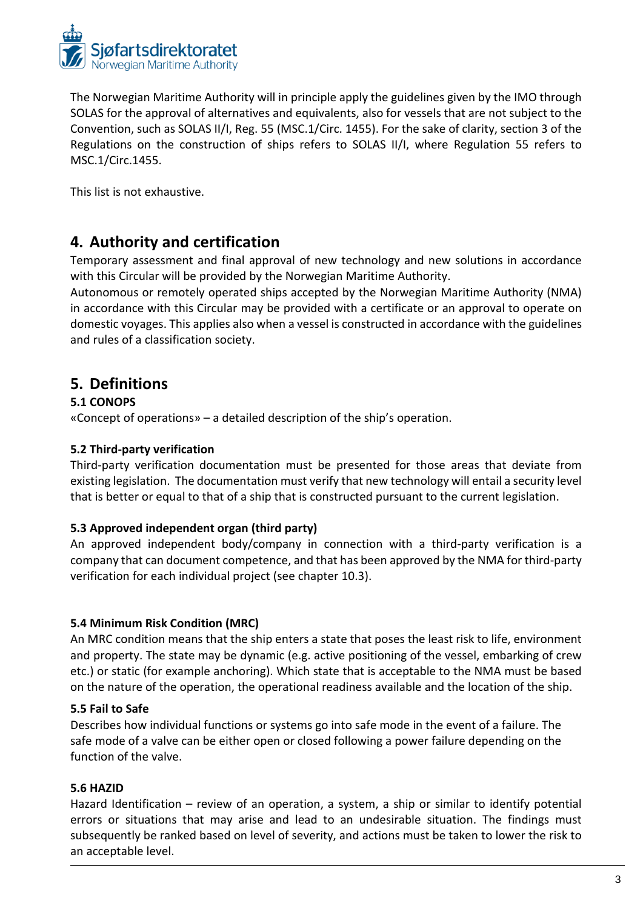

The Norwegian Maritime Authority will in principle apply the guidelines given by the IMO through SOLAS for the approval of alternatives and equivalents, also for vessels that are not subject to the Convention, such as SOLAS II/I, Reg. 55 (MSC.1/Circ. 1455). For the sake of clarity, section 3 of the Regulations on the construction of ships refers to SOLAS II/I, where Regulation 55 refers to MSC.1/Circ.1455.

This list is not exhaustive.

## **4. Authority and certification**

Temporary assessment and final approval of new technology and new solutions in accordance with this Circular will be provided by the Norwegian Maritime Authority.

Autonomous or remotely operated ships accepted by the Norwegian Maritime Authority (NMA) in accordance with this Circular may be provided with a certificate or an approval to operate on domestic voyages. This applies also when a vessel is constructed in accordance with the guidelines and rules of a classification society.

## **5. Definitions**

## **5.1 CONOPS**

«Concept of operations» – a detailed description of the ship's operation.

## **5.2 Third-party verification**

Third-party verification documentation must be presented for those areas that deviate from existing legislation. The documentation must verify that new technology will entail a security level that is better or equal to that of a ship that is constructed pursuant to the current legislation.

## **5.3 Approved independent organ (third party)**

An approved independent body/company in connection with a third-party verification is a company that can document competence, and that has been approved by the NMA for third-party verification for each individual project (see chapter 10.3).

## **5.4 Minimum Risk Condition (MRC)**

An MRC condition means that the ship enters a state that poses the least risk to life, environment and property. The state may be dynamic (e.g. active positioning of the vessel, embarking of crew etc.) or static (for example anchoring). Which state that is acceptable to the NMA must be based on the nature of the operation, the operational readiness available and the location of the ship.

## **5.5 Fail to Safe**

Describes how individual functions or systems go into safe mode in the event of a failure. The safe mode of a valve can be either open or closed following a power failure depending on the function of the valve.

## **5.6 HAZID**

Hazard Identification – review of an operation, a system, a ship or similar to identify potential errors or situations that may arise and lead to an undesirable situation. The findings must subsequently be ranked based on level of severity, and actions must be taken to lower the risk to an acceptable level.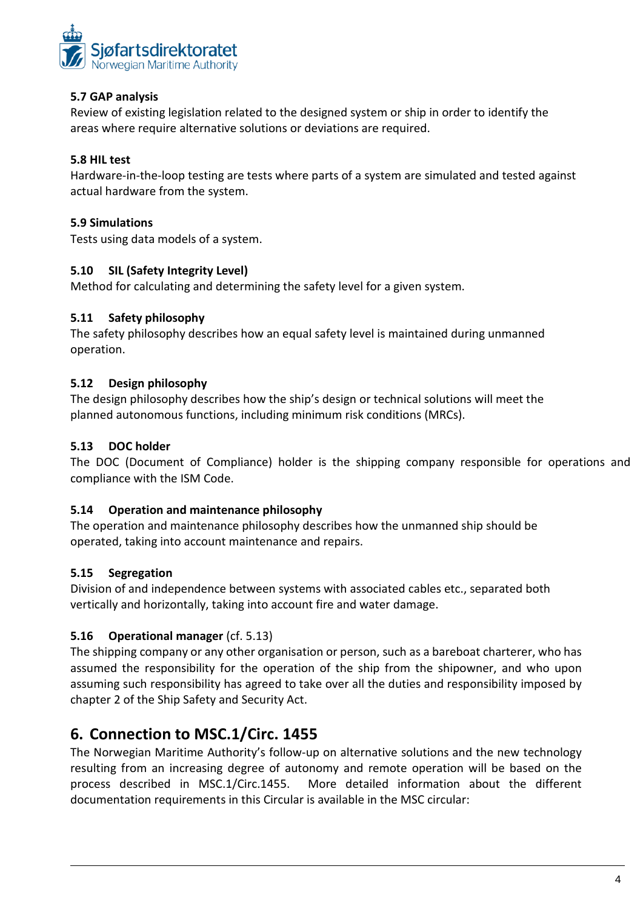

## **5.7 GAP analysis**

Review of existing legislation related to the designed system or ship in order to identify the areas where require alternative solutions or deviations are required.

## **5.8 HIL test**

Hardware-in-the-loop testing are tests where parts of a system are simulated and tested against actual hardware from the system.

## **5.9 Simulations**

Tests using data models of a system.

## **5.10 SIL (Safety Integrity Level)**

Method for calculating and determining the safety level for a given system.

#### **5.11 Safety philosophy**

The safety philosophy describes how an equal safety level is maintained during unmanned operation.

#### **5.12 Design philosophy**

The design philosophy describes how the ship's design or technical solutions will meet the planned autonomous functions, including minimum risk conditions (MRCs).

#### **5.13 DOC holder**

The DOC (Document of Compliance) holder is the shipping company responsible for operations and compliance with the ISM Code.

## **5.14 Operation and maintenance philosophy**

The operation and maintenance philosophy describes how the unmanned ship should be operated, taking into account maintenance and repairs.

## **5.15 Segregation**

Division of and independence between systems with associated cables etc., separated both vertically and horizontally, taking into account fire and water damage.

## **5.16 Operational manager** (cf. 5.13)

The shipping company or any other organisation or person, such as a bareboat charterer, who has assumed the responsibility for the operation of the ship from the shipowner, and who upon assuming such responsibility has agreed to take over all the duties and responsibility imposed by chapter 2 of the Ship Safety and Security Act.

## **6. Connection to MSC.1/Circ. 1455**

The Norwegian Maritime Authority's follow-up on alternative solutions and the new technology resulting from an increasing degree of autonomy and remote operation will be based on the process described in MSC.1/Circ.1455. More detailed information about the different documentation requirements in this Circular is available in the MSC circular: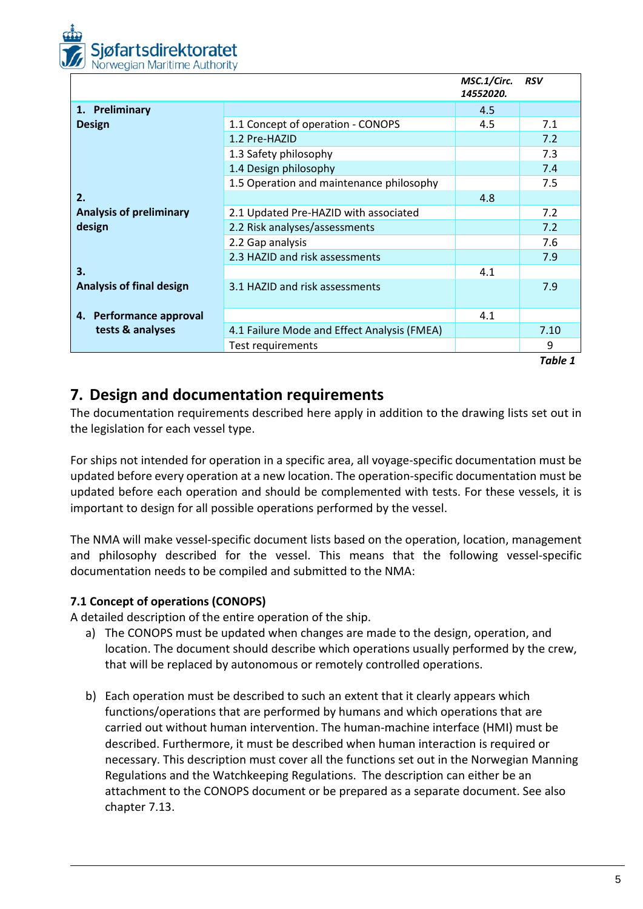

|                                 |                                             | MSC.1/Circ.<br>14552020. | <b>RSV</b> |
|---------------------------------|---------------------------------------------|--------------------------|------------|
| 1. Preliminary                  |                                             | 4.5                      |            |
| <b>Design</b>                   | 1.1 Concept of operation - CONOPS           | 4.5                      | 7.1        |
|                                 | 1.2 Pre-HAZID                               |                          | 7.2        |
|                                 | 1.3 Safety philosophy                       |                          | 7.3        |
|                                 | 1.4 Design philosophy                       |                          | 7.4        |
|                                 | 1.5 Operation and maintenance philosophy    |                          | 7.5        |
| 2.                              |                                             | 4.8                      |            |
| <b>Analysis of preliminary</b>  | 2.1 Updated Pre-HAZID with associated       |                          | 7.2        |
| design                          | 2.2 Risk analyses/assessments               |                          | 7.2        |
|                                 | 2.2 Gap analysis                            |                          | 7.6        |
|                                 | 2.3 HAZID and risk assessments              |                          | 7.9        |
| 3.                              |                                             | 4.1                      |            |
| <b>Analysis of final design</b> | 3.1 HAZID and risk assessments              |                          | 7.9        |
|                                 |                                             |                          |            |
| 4. Performance approval         |                                             | 4.1                      |            |
| tests & analyses                | 4.1 Failure Mode and Effect Analysis (FMEA) |                          | 7.10       |
|                                 | Test requirements                           |                          | 9          |
|                                 |                                             |                          | Table 1    |

## **7. Design and documentation requirements**

The documentation requirements described here apply in addition to the drawing lists set out in the legislation for each vessel type.

For ships not intended for operation in a specific area, all voyage-specific documentation must be updated before every operation at a new location. The operation-specific documentation must be updated before each operation and should be complemented with tests. For these vessels, it is important to design for all possible operations performed by the vessel.

The NMA will make vessel-specific document lists based on the operation, location, management and philosophy described for the vessel. This means that the following vessel-specific documentation needs to be compiled and submitted to the NMA:

## **7.1 Concept of operations (CONOPS)**

A detailed description of the entire operation of the ship.

- a) The CONOPS must be updated when changes are made to the design, operation, and location. The document should describe which operations usually performed by the crew, that will be replaced by autonomous or remotely controlled operations.
- b) Each operation must be described to such an extent that it clearly appears which functions/operations that are performed by humans and which operations that are carried out without human intervention. The human-machine interface (HMI) must be described. Furthermore, it must be described when human interaction is required or necessary. This description must cover all the functions set out in the Norwegian Manning Regulations and the Watchkeeping Regulations. The description can either be an attachment to the CONOPS document or be prepared as a separate document. See also chapter 7.13.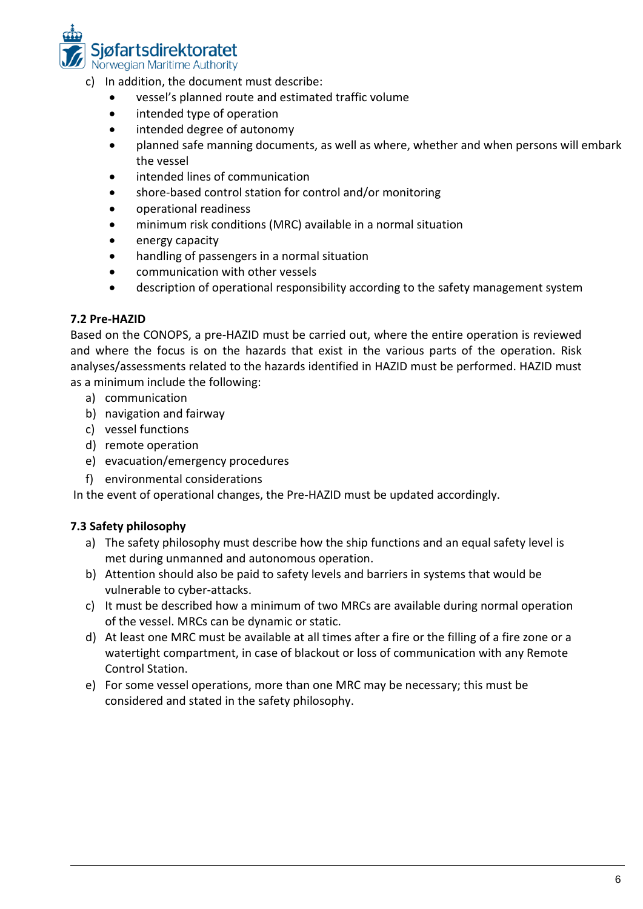

- c) In addition, the document must describe:
	- vessel's planned route and estimated traffic volume
	- intended type of operation
	- intended degree of autonomy
	- planned safe manning documents, as well as where, whether and when persons will embark the vessel
	- intended lines of communication
	- shore-based control station for control and/or monitoring
	- operational readiness
	- minimum risk conditions (MRC) available in a normal situation
	- energy capacity
	- handling of passengers in a normal situation
	- communication with other vessels
	- description of operational responsibility according to the safety management system

#### **7.2 Pre-HAZID**

Based on the CONOPS, a pre-HAZID must be carried out, where the entire operation is reviewed and where the focus is on the hazards that exist in the various parts of the operation. Risk analyses/assessments related to the hazards identified in HAZID must be performed. HAZID must as a minimum include the following:

- a) communication
- b) navigation and fairway
- c) vessel functions
- d) remote operation
- e) evacuation/emergency procedures
- f) environmental considerations

In the event of operational changes, the Pre-HAZID must be updated accordingly.

## **7.3 Safety philosophy**

- a) The safety philosophy must describe how the ship functions and an equal safety level is met during unmanned and autonomous operation.
- b) Attention should also be paid to safety levels and barriers in systems that would be vulnerable to cyber-attacks.
- c) It must be described how a minimum of two MRCs are available during normal operation of the vessel. MRCs can be dynamic or static.
- d) At least one MRC must be available at all times after a fire or the filling of a fire zone or a watertight compartment, in case of blackout or loss of communication with any Remote Control Station.
- e) For some vessel operations, more than one MRC may be necessary; this must be considered and stated in the safety philosophy.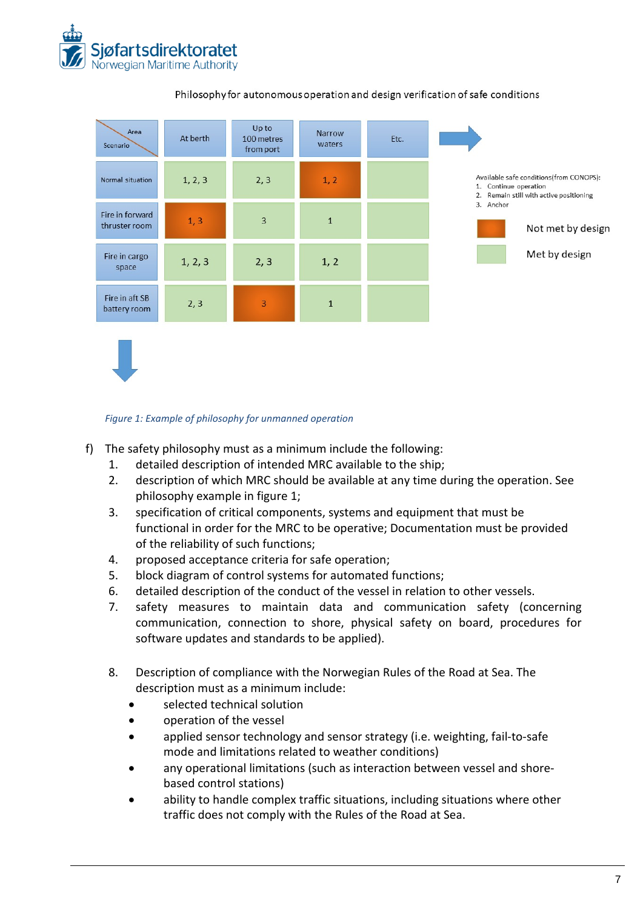



#### Philosophy for autonomous operation and design verification of safe conditions

#### *Figure 1: Example of philosophy for unmanned operation*

- f) The safety philosophy must as a minimum include the following:
	- 1. detailed description of intended MRC available to the ship;
	- 2. description of which MRC should be available at any time during the operation. See philosophy example in figure 1;
	- 3. specification of critical components, systems and equipment that must be functional in order for the MRC to be operative; Documentation must be provided of the reliability of such functions;
	- 4. proposed acceptance criteria for safe operation;
	- 5. block diagram of control systems for automated functions;
	- 6. detailed description of the conduct of the vessel in relation to other vessels.
	- 7. safety measures to maintain data and communication safety (concerning communication, connection to shore, physical safety on board, procedures for software updates and standards to be applied).
	- 8. Description of compliance with the Norwegian Rules of the Road at Sea. The description must as a minimum include:
		- selected technical solution
		- operation of the vessel
		- applied sensor technology and sensor strategy (i.e. weighting, fail-to-safe mode and limitations related to weather conditions)
		- any operational limitations (such as interaction between vessel and shorebased control stations)
		- ability to handle complex traffic situations, including situations where other traffic does not comply with the Rules of the Road at Sea.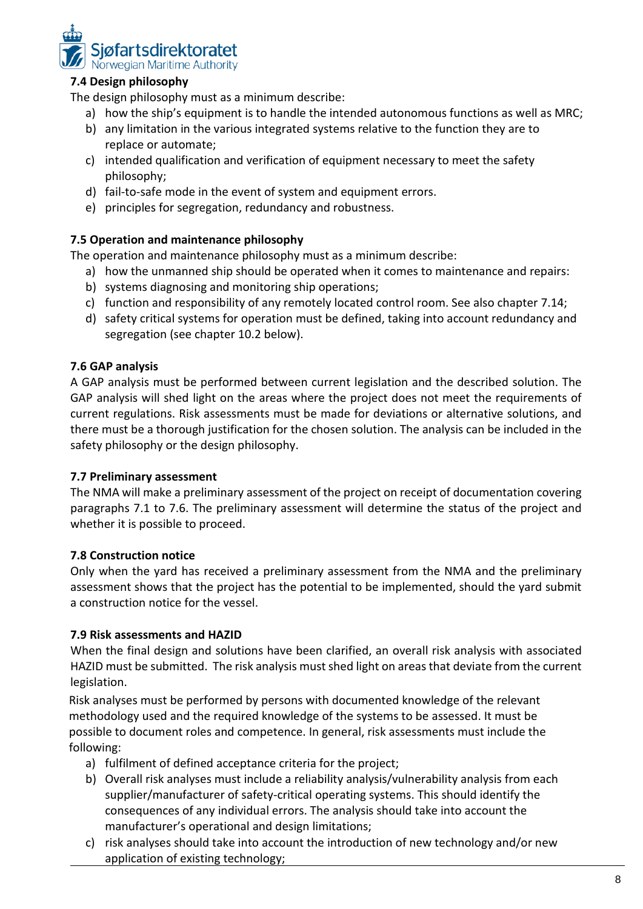

## **7.4 Design philosophy**

The design philosophy must as a minimum describe:

- a) how the ship's equipment is to handle the intended autonomous functions as well as MRC;
- b) any limitation in the various integrated systems relative to the function they are to replace or automate;
- c) intended qualification and verification of equipment necessary to meet the safety philosophy;
- d) fail-to-safe mode in the event of system and equipment errors.
- e) principles for segregation, redundancy and robustness.

## **7.5 Operation and maintenance philosophy**

The operation and maintenance philosophy must as a minimum describe:

- a) how the unmanned ship should be operated when it comes to maintenance and repairs:
- b) systems diagnosing and monitoring ship operations;
- c) function and responsibility of any remotely located control room. See also chapter 7.14;
- d) safety critical systems for operation must be defined, taking into account redundancy and segregation (see chapter 10.2 below).

#### **7.6 GAP analysis**

A GAP analysis must be performed between current legislation and the described solution. The GAP analysis will shed light on the areas where the project does not meet the requirements of current regulations. Risk assessments must be made for deviations or alternative solutions, and there must be a thorough justification for the chosen solution. The analysis can be included in the safety philosophy or the design philosophy.

#### **7.7 Preliminary assessment**

The NMA will make a preliminary assessment of the project on receipt of documentation covering paragraphs 7.1 to 7.6. The preliminary assessment will determine the status of the project and whether it is possible to proceed.

#### **7.8 Construction notice**

Only when the yard has received a preliminary assessment from the NMA and the preliminary assessment shows that the project has the potential to be implemented, should the yard submit a construction notice for the vessel.

#### **7.9 Risk assessments and HAZID**

When the final design and solutions have been clarified, an overall risk analysis with associated HAZID must be submitted. The risk analysis must shed light on areas that deviate from the current legislation.

Risk analyses must be performed by persons with documented knowledge of the relevant methodology used and the required knowledge of the systems to be assessed. It must be possible to document roles and competence. In general, risk assessments must include the following:

- a) fulfilment of defined acceptance criteria for the project;
- b) Overall risk analyses must include a reliability analysis/vulnerability analysis from each supplier/manufacturer of safety-critical operating systems. This should identify the consequences of any individual errors. The analysis should take into account the manufacturer's operational and design limitations;
- c) risk analyses should take into account the introduction of new technology and/or new application of existing technology;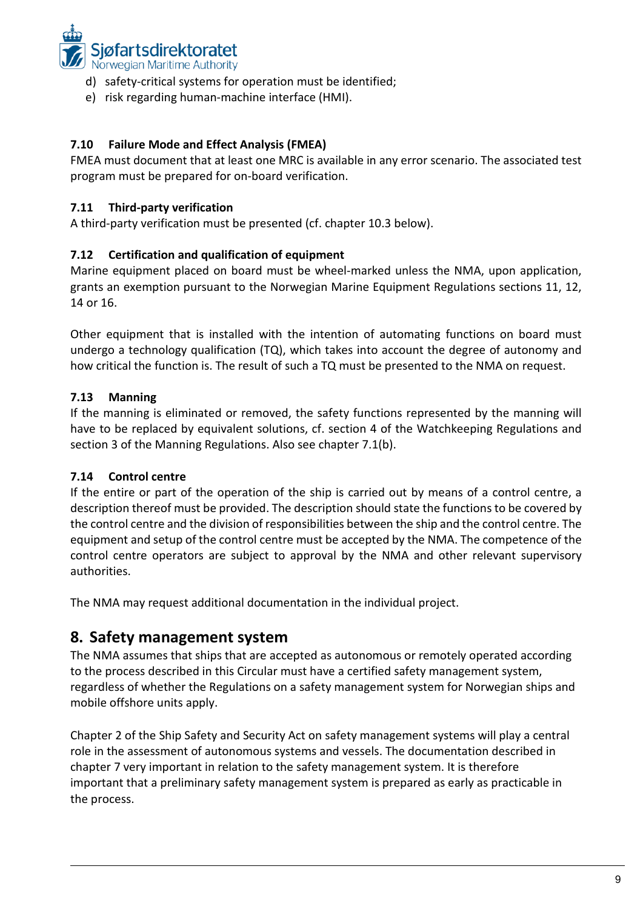

- d) safety-critical systems for operation must be identified;
- e) risk regarding human-machine interface (HMI).

## **7.10 Failure Mode and Effect Analysis (FMEA)**

FMEA must document that at least one MRC is available in any error scenario. The associated test program must be prepared for on-board verification.

## **7.11 Third-party verification**

A third-party verification must be presented (cf. chapter 10.3 below).

## **7.12 Certification and qualification of equipment**

Marine equipment placed on board must be wheel-marked unless the NMA, upon application, grants an exemption pursuant to the Norwegian Marine Equipment Regulations sections 11, 12, 14 or 16.

Other equipment that is installed with the intention of automating functions on board must undergo a technology qualification (TQ), which takes into account the degree of autonomy and how critical the function is. The result of such a TQ must be presented to the NMA on request.

## **7.13 Manning**

If the manning is eliminated or removed, the safety functions represented by the manning will have to be replaced by equivalent solutions, cf. section 4 of the Watchkeeping Regulations and section 3 of the Manning Regulations. Also see chapter 7.1(b).

## **7.14 Control centre**

If the entire or part of the operation of the ship is carried out by means of a control centre, a description thereof must be provided. The description should state the functions to be covered by the control centre and the division of responsibilities between the ship and the control centre. The equipment and setup of the control centre must be accepted by the NMA. The competence of the control centre operators are subject to approval by the NMA and other relevant supervisory authorities.

The NMA may request additional documentation in the individual project.

## **8. Safety management system**

The NMA assumes that ships that are accepted as autonomous or remotely operated according to the process described in this Circular must have a certified safety management system, regardless of whether the Regulations on a safety management system for Norwegian ships and mobile offshore units apply.

Chapter 2 of the Ship Safety and Security Act on safety management systems will play a central role in the assessment of autonomous systems and vessels. The documentation described in chapter 7 very important in relation to the safety management system. It is therefore important that a preliminary safety management system is prepared as early as practicable in the process.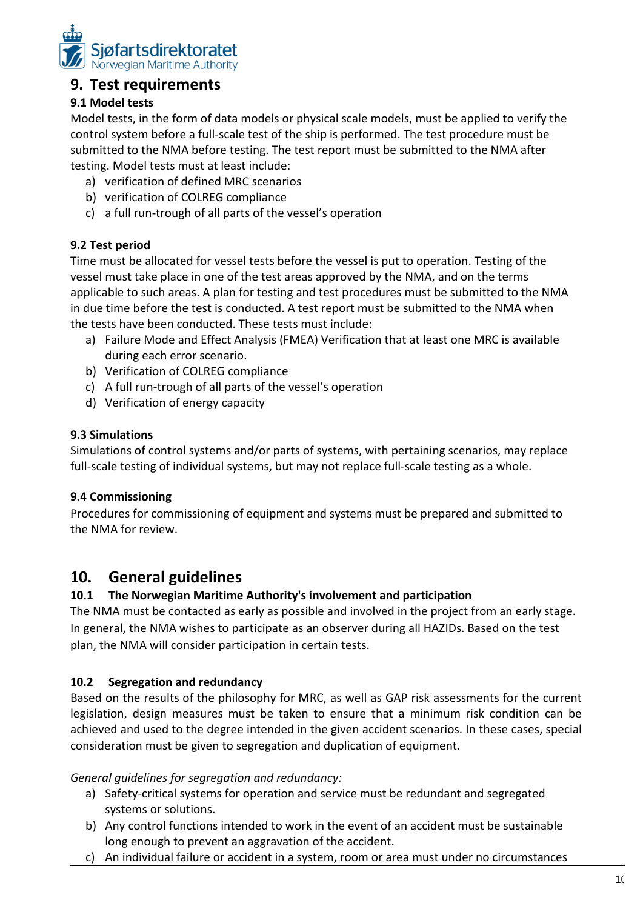

## **9. Test requirements**

## **9.1 Model tests**

Model tests, in the form of data models or physical scale models, must be applied to verify the control system before a full-scale test of the ship is performed. The test procedure must be submitted to the NMA before testing. The test report must be submitted to the NMA after testing. Model tests must at least include:

- a) verification of defined MRC scenarios
- b) verification of COLREG compliance
- c) a full run-trough of all parts of the vessel's operation

## **9.2 Test period**

Time must be allocated for vessel tests before the vessel is put to operation. Testing of the vessel must take place in one of the test areas approved by the NMA, and on the terms applicable to such areas. A plan for testing and test procedures must be submitted to the NMA in due time before the test is conducted. A test report must be submitted to the NMA when the tests have been conducted. These tests must include:

- a) Failure Mode and Effect Analysis (FMEA) Verification that at least one MRC is available during each error scenario.
- b) Verification of COLREG compliance
- c) A full run-trough of all parts of the vessel's operation
- d) Verification of energy capacity

## **9.3 Simulations**

Simulations of control systems and/or parts of systems, with pertaining scenarios, may replace full-scale testing of individual systems, but may not replace full-scale testing as a whole.

## **9.4 Commissioning**

Procedures for commissioning of equipment and systems must be prepared and submitted to the NMA for review.

## **10. General guidelines**

## **10.1 The Norwegian Maritime Authority's involvement and participation**

The NMA must be contacted as early as possible and involved in the project from an early stage. In general, the NMA wishes to participate as an observer during all HAZIDs. Based on the test plan, the NMA will consider participation in certain tests.

## **10.2 Segregation and redundancy**

Based on the results of the philosophy for MRC, as well as GAP risk assessments for the current legislation, design measures must be taken to ensure that a minimum risk condition can be achieved and used to the degree intended in the given accident scenarios. In these cases, special consideration must be given to segregation and duplication of equipment.

## *General guidelines for segregation and redundancy:*

- a) Safety-critical systems for operation and service must be redundant and segregated systems or solutions.
- b) Any control functions intended to work in the event of an accident must be sustainable long enough to prevent an aggravation of the accident.
- c) An individual failure or accident in a system, room or area must under no circumstances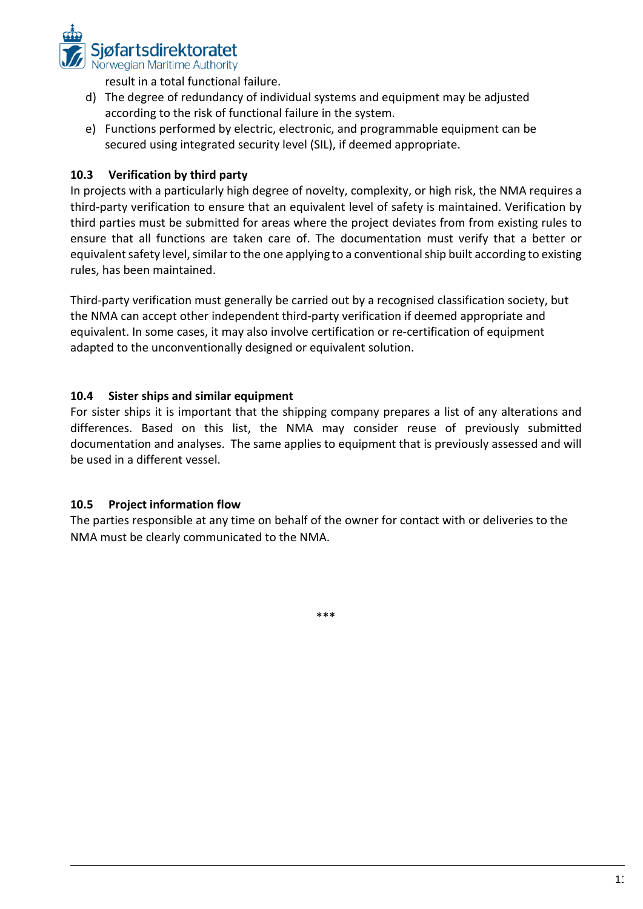

result in a total functional failure.

- d) The degree of redundancy of individual systems and equipment may be adjusted according to the risk of functional failure in the system.
- e) Functions performed by electric, electronic, and programmable equipment can be secured using integrated security level (SIL), if deemed appropriate.

## **10.3 Verification by third party**

In projects with a particularly high degree of novelty, complexity, or high risk, the NMA requires a third-party verification to ensure that an equivalent level of safety is maintained. Verification by third parties must be submitted for areas where the project deviates from from existing rules to ensure that all functions are taken care of. The documentation must verify that a better or equivalent safety level, similar to the one applying to a conventional ship built according to existing rules, has been maintained.

Third-party verification must generally be carried out by a recognised classification society, but the NMA can accept other independent third-party verification if deemed appropriate and equivalent. In some cases, it may also involve certification or re-certification of equipment adapted to the unconventionally designed or equivalent solution.

## **10.4 Sister ships and similar equipment**

For sister ships it is important that the shipping company prepares a list of any alterations and differences. Based on this list, the NMA may consider reuse of previously submitted documentation and analyses. The same applies to equipment that is previously assessed and will be used in a different vessel.

## **10.5 Project information flow**

The parties responsible at any time on behalf of the owner for contact with or deliveries to the NMA must be clearly communicated to the NMA.

\*\*\*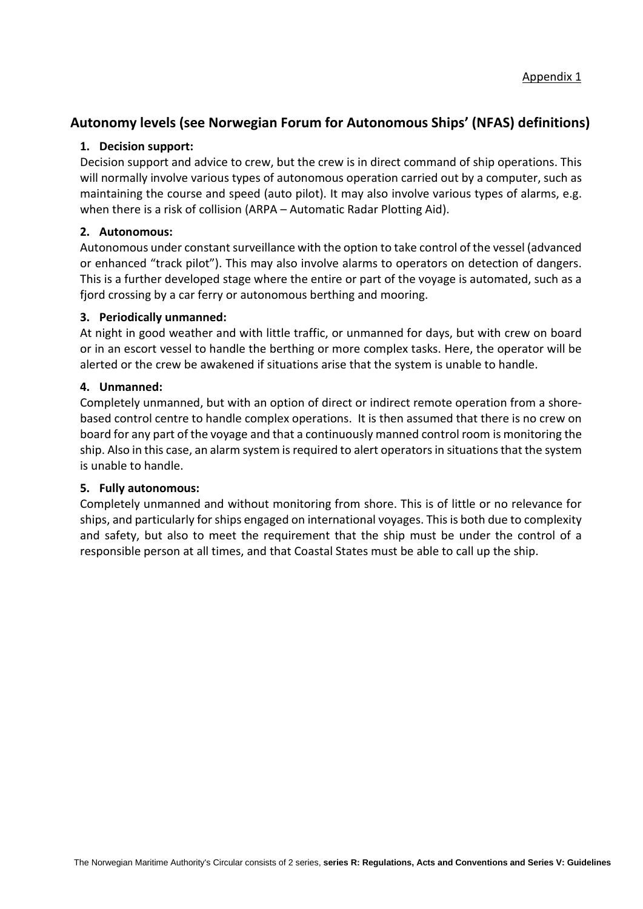## **Autonomy levels (see Norwegian Forum for Autonomous Ships' (NFAS) definitions)**

#### **1. Decision support:**

Decision support and advice to crew, but the crew is in direct command of ship operations. This will normally involve various types of autonomous operation carried out by a computer, such as maintaining the course and speed (auto pilot). It may also involve various types of alarms, e.g. when there is a risk of collision (ARPA – Automatic Radar Plotting Aid).

#### **2. Autonomous:**

Autonomous under constant surveillance with the option to take control of the vessel (advanced or enhanced "track pilot"). This may also involve alarms to operators on detection of dangers. This is a further developed stage where the entire or part of the voyage is automated, such as a fjord crossing by a car ferry or autonomous berthing and mooring.

#### **3. Periodically unmanned:**

At night in good weather and with little traffic, or unmanned for days, but with crew on board or in an escort vessel to handle the berthing or more complex tasks. Here, the operator will be alerted or the crew be awakened if situations arise that the system is unable to handle.

#### **4. Unmanned:**

Completely unmanned, but with an option of direct or indirect remote operation from a shorebased control centre to handle complex operations. It is then assumed that there is no crew on board for any part of the voyage and that a continuously manned control room is monitoring the ship. Also in this case, an alarm system is required to alert operators in situations that the system is unable to handle.

#### **5. Fully autonomous:**

Completely unmanned and without monitoring from shore. This is of little or no relevance for ships, and particularly for ships engaged on international voyages. This is both due to complexity and safety, but also to meet the requirement that the ship must be under the control of a responsible person at all times, and that Coastal States must be able to call up the ship.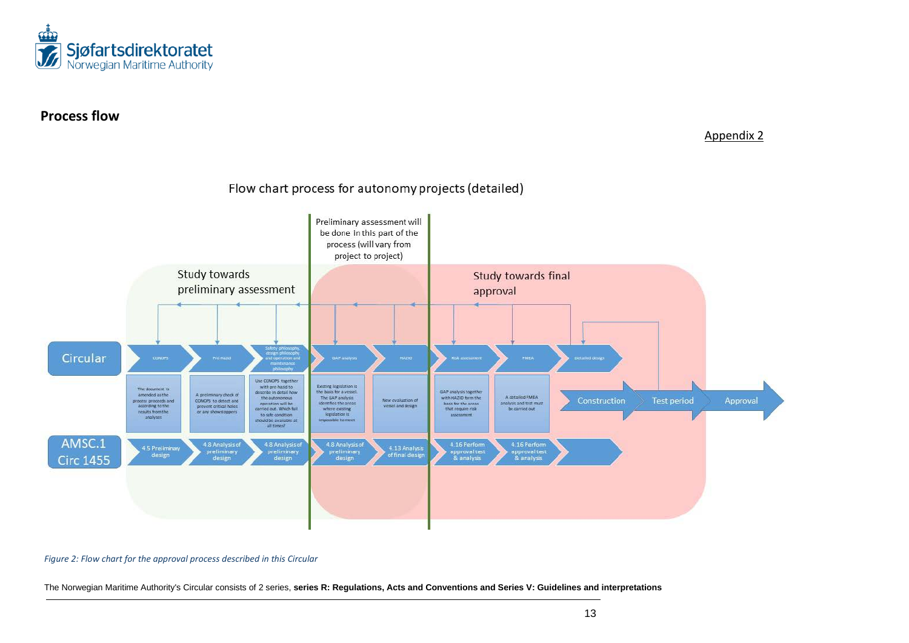

## **Process flow**

Appendix 2



#### Flow chart process for autonomy projects (detailed)

*Figure 2: Flow chart for the approval process described in this Circular*

The Norwegian Maritime Authority's Circular consists of 2 series, **series R: Regulations, Acts and Conventions and Series V: Guidelines and interpretations**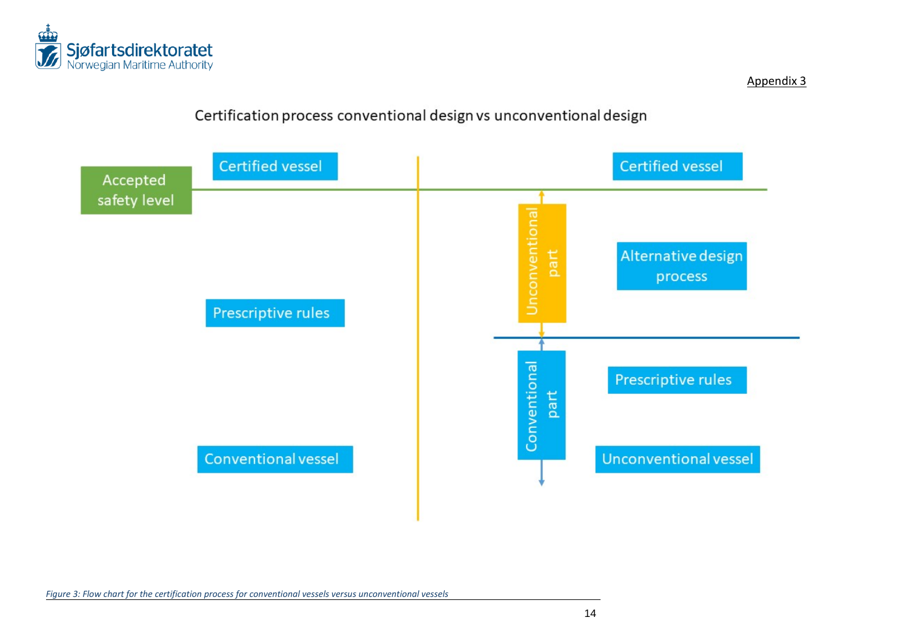

Appendix 3

## Certification process conventional design vs unconventional design



*Figure 3: Flow chart for the certification process for conventional vessels versus unconventional vessels*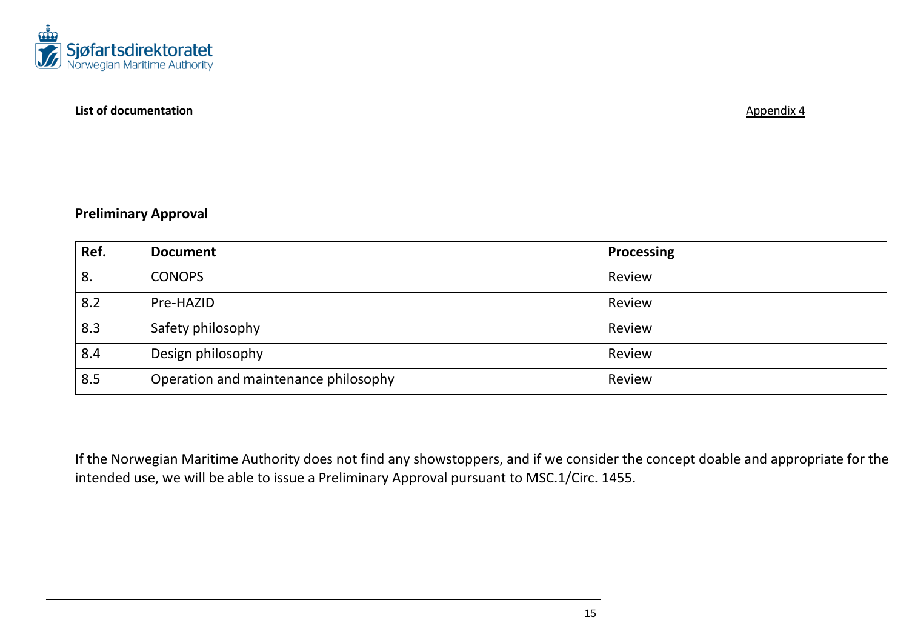

#### **List of documentation Appendix 4**

## **Preliminary Approval**

| Ref. | <b>Document</b>                      | <b>Processing</b> |
|------|--------------------------------------|-------------------|
| 8.   | <b>CONOPS</b>                        | Review            |
| 8.2  | Pre-HAZID                            | Review            |
| 8.3  | Safety philosophy                    | Review            |
| 8.4  | Design philosophy                    | Review            |
| 8.5  | Operation and maintenance philosophy | Review            |

If the Norwegian Maritime Authority does not find any showstoppers, and if we consider the concept doable and appropriate for the intended use, we will be able to issue a Preliminary Approval pursuant to MSC.1/Circ. 1455.